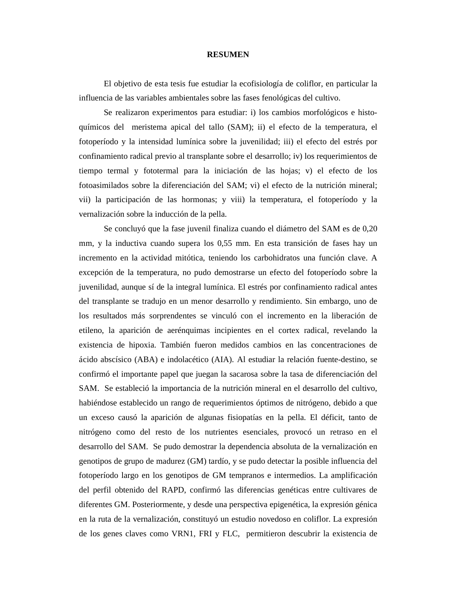## **RESUMEN**

El objetivo de esta tesis fue estudiar la ecofisiología de coliflor, en particular la influencia de las variables ambientales sobre las fases fenológicas del cultivo.

Se realizaron experimentos para estudiar: i) los cambios morfológicos e histoquímicos del meristema apical del tallo (SAM); ii) el efecto de la temperatura, el fotoperíodo y la intensidad lumínica sobre la juvenilidad; iii) el efecto del estrés por confinamiento radical previo al transplante sobre el desarrollo; iv) los requerimientos de tiempo termal y fototermal para la iniciación de las hojas; v) el efecto de los fotoasimilados sobre la diferenciación del SAM; vi) el efecto de la nutrición mineral; vii) la participación de las hormonas; y viii) la temperatura, el fotoperíodo y la vernalización sobre la inducción de la pella.

Se concluyó que la fase juvenil finaliza cuando el diámetro del SAM es de 0,20 mm, y la inductiva cuando supera los 0,55 mm. En esta transición de fases hay un incremento en la actividad mitótica, teniendo los carbohidratos una función clave. A excepción de la temperatura, no pudo demostrarse un efecto del fotoperíodo sobre la juvenilidad, aunque sí de la integral lumínica. El estrés por confinamiento radical antes del transplante se tradujo en un menor desarrollo y rendimiento. Sin embargo, uno de los resultados más sorprendentes se vinculó con el incremento en la liberación de etileno, la aparición de aerénquimas incipientes en el cortex radical, revelando la existencia de hipoxia. También fueron medidos cambios en las concentraciones de ácido abscísico (ABA) e indolacético (AIA). Al estudiar la relación fuente-destino, se confirmó el importante papel que juegan la sacarosa sobre la tasa de diferenciación del SAM. Se estableció la importancia de la nutrición mineral en el desarrollo del cultivo, habiéndose establecido un rango de requerimientos óptimos de nitrógeno, debido a que un exceso causó la aparición de algunas fisiopatías en la pella. El déficit, tanto de nitrógeno como del resto de los nutrientes esenciales, provocó un retraso en el desarrollo del SAM. Se pudo demostrar la dependencia absoluta de la vernalización en genotipos de grupo de madurez (GM) tardío, y se pudo detectar la posible influencia del fotoperíodo largo en los genotipos de GM tempranos e intermedios. La amplificación del perfil obtenido del RAPD, confirmó las diferencias genéticas entre cultivares de diferentes GM. Posteriormente, y desde una perspectiva epigenética, la expresión génica en la ruta de la vernalización, constituyó un estudio novedoso en coliflor. La expresión de los genes claves como VRN1, FRI y FLC, permitieron descubrir la existencia de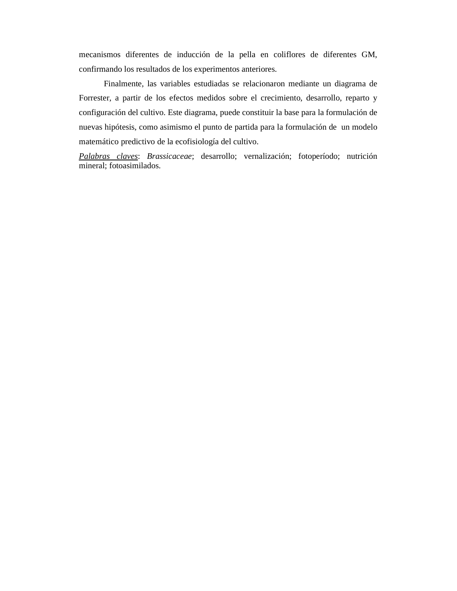mecanismos diferentes de inducción de la pella en coliflores de diferentes GM, confirmando los resultados de los experimentos anteriores.

Finalmente, las variables estudiadas se relacionaron mediante un diagrama de Forrester, a partir de los efectos medidos sobre el crecimiento, desarrollo, reparto y configuración del cultivo. Este diagrama, puede constituir la base para la formulación de nuevas hipótesis, como asimismo el punto de partida para la formulación de un modelo matemático predictivo de la ecofisiología del cultivo.

*Palabras claves*: *Brassicaceae*; desarrollo; vernalización; fotoperíodo; nutrición mineral; fotoasimilados.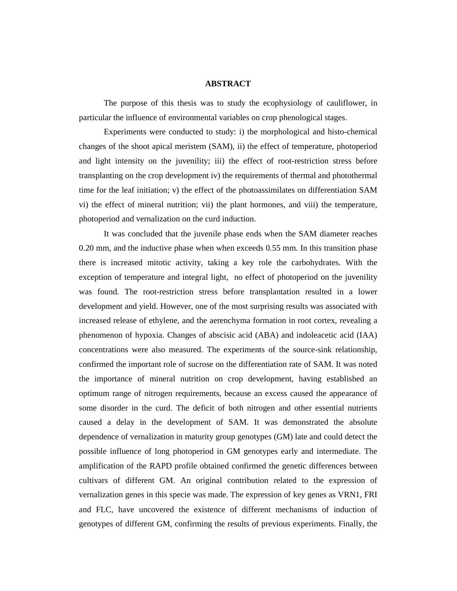## **ABSTRACT**

The purpose of this thesis was to study the ecophysiology of cauliflower, in particular the influence of environmental variables on crop phenological stages.

Experiments were conducted to study: i) the morphological and histo-chemical changes of the shoot apical meristem (SAM), ii) the effect of temperature, photoperiod and light intensity on the juvenility; iii) the effect of root-restriction stress before transplanting on the crop development iv) the requirements of thermal and photothermal time for the leaf initiation; v) the effect of the photoassimilates on differentiation SAM vi) the effect of mineral nutrition; vii) the plant hormones, and viii) the temperature, photoperiod and vernalization on the curd induction.

It was concluded that the juvenile phase ends when the SAM diameter reaches 0.20 mm, and the inductive phase when when exceeds 0.55 mm. In this transition phase there is increased mitotic activity, taking a key role the carbohydrates. With the exception of temperature and integral light, no effect of photoperiod on the juvenility was found. The root-restriction stress before transplantation resulted in a lower development and yield. However, one of the most surprising results was associated with increased release of ethylene, and the aerenchyma formation in root cortex, revealing a phenomenon of hypoxia. Changes of abscisic acid (ABA) and indoleacetic acid (IAA) concentrations were also measured. The experiments of the source-sink relationship, confirmed the important role of sucrose on the differentiation rate of SAM. It was noted the importance of mineral nutrition on crop development, having established an optimum range of nitrogen requirements, because an excess caused the appearance of some disorder in the curd. The deficit of both nitrogen and other essential nutrients caused a delay in the development of SAM. It was demonstrated the absolute dependence of vernalization in maturity group genotypes (GM) late and could detect the possible influence of long photoperiod in GM genotypes early and intermediate. The amplification of the RAPD profile obtained confirmed the genetic differences between cultivars of different GM. An original contribution related to the expression of vernalization genes in this specie was made. The expression of key genes as VRN1, FRI and FLC, have uncovered the existence of different mechanisms of induction of genotypes of different GM, confirming the results of previous experiments. Finally, the